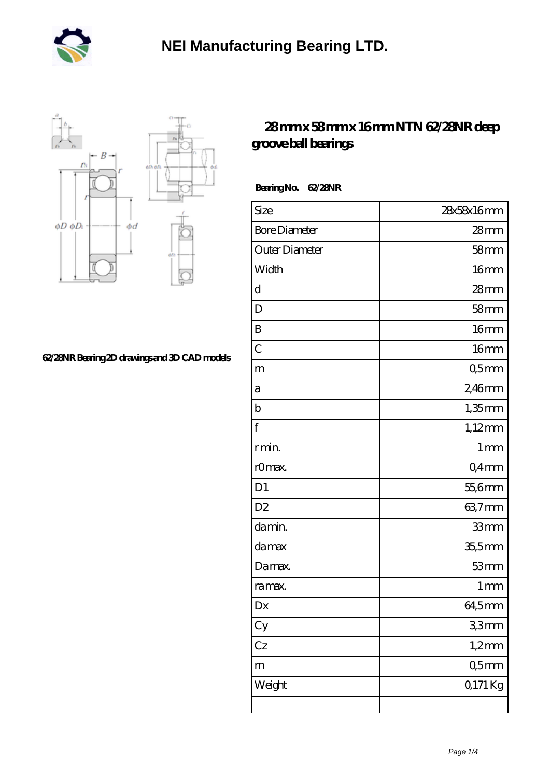



## **[62/28NR Bearing 2D drawings and 3D CAD models](https://mtogr.com/pic-25860.html)**

## **[28 mm x 58 mm x 16 mm NTN 62/28NR deep](https://mtogr.com/af-25860-ntn-62-28nr-deep-groove-ball-bearings.html) [groove ball bearings](https://mtogr.com/af-25860-ntn-62-28nr-deep-groove-ball-bearings.html)**

 **Bearing No. 62/28NR**

| Size                 | 28x58x16mm       |
|----------------------|------------------|
| <b>Bore Diameter</b> | 28mm             |
| Outer Diameter       | 58 <sub>mm</sub> |
| Width                | 16 <sub>mm</sub> |
| d                    | $28$ mm          |
| D                    | 58 <sub>mm</sub> |
| B                    | 16 <sub>mm</sub> |
| $\overline{C}$       | 16 <sub>mm</sub> |
| m                    | Q5mm             |
| а                    | 2,46mm           |
| $\mathbf b$          | $1,35$ mm        |
| f                    | $1,12$ mm        |
| r min.               | 1 <sub>mm</sub>  |
| rOmax.               | Q4mm             |
| D <sub>1</sub>       | 55,6mm           |
| D <sub>2</sub>       | 63,7mm           |
| da min.              | 33mm             |
| damax                | $35,5$ mm        |
| Damax.               | 53mm             |
| ra max.              | 1 <sub>mm</sub>  |
| Dx                   | 64,5mm           |
| Cy                   | 33mm             |
| Cz                   | $1,2$ mm         |
| m                    | 05 <sub>mm</sub> |
| Weight               | 0.171 Kg         |
|                      |                  |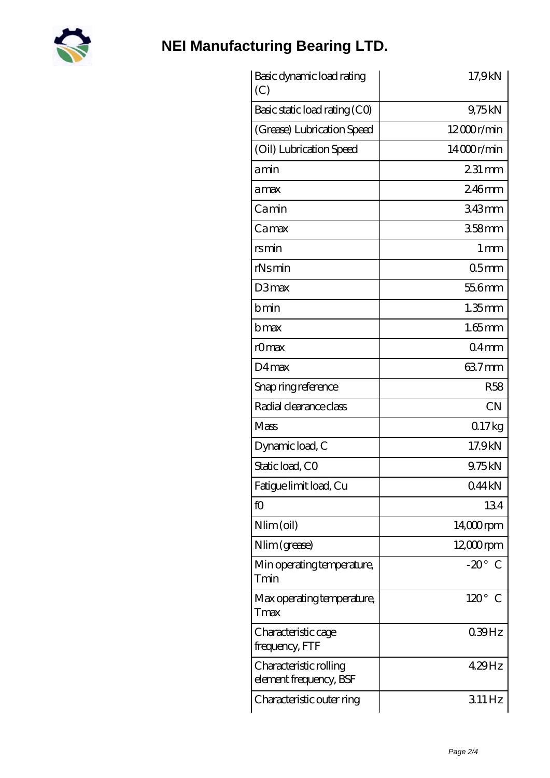

## **[NEI Manufacturing Bearing LTD.](https://mtogr.com)**

| Basic dynamic load rating<br>(C)                 | 17,9kN                       |
|--------------------------------------------------|------------------------------|
| Basic static load rating (CO)                    | 9,75kN                       |
| (Grease) Lubrication Speed                       | 12000r/min                   |
| (Oil) Lubrication Speed                          | 14000r/min                   |
| amin                                             | 231 mm                       |
| amax                                             | 246mm                        |
| Camin                                            | 343mm                        |
| Camax                                            | 358mm                        |
| rsmin                                            | $1 \,\mathrm{mm}$            |
| rNsmin                                           | 05 <sub>mm</sub>             |
| D3max                                            | 55.6mm                       |
| bmin                                             | $1.35$ mm                    |
| bmax                                             | $1.65$ mm                    |
| rOmax                                            | 04 <sub>mm</sub>             |
| D4max                                            | 637mm                        |
| Snap ring reference                              | <b>R58</b>                   |
| Radial clearance class                           | <b>CN</b>                    |
| Mass                                             | 017kg                        |
| Dynamic load, C                                  | 17.9kN                       |
| Static load, CO                                  | 9.75kN                       |
| Fatigue limit load, Cu                           | 044kN                        |
| fO                                               | 134                          |
| $Nlim$ (oil)                                     | $14,000$ rpm                 |
| Nlim (grease)                                    | $12,000$ rpm                 |
| Min operating temperature,<br>Tmin               | $-20^\circ$ C                |
| Max operating temperature,<br>Tmax               | $120^\circ$<br>$\mathcal{C}$ |
| Characteristic cage<br>frequency, FTF            | $039$ Hz                     |
| Characteristic rolling<br>element frequency, BSF | 429Hz                        |
| Characteristic outer ring                        | 311Hz                        |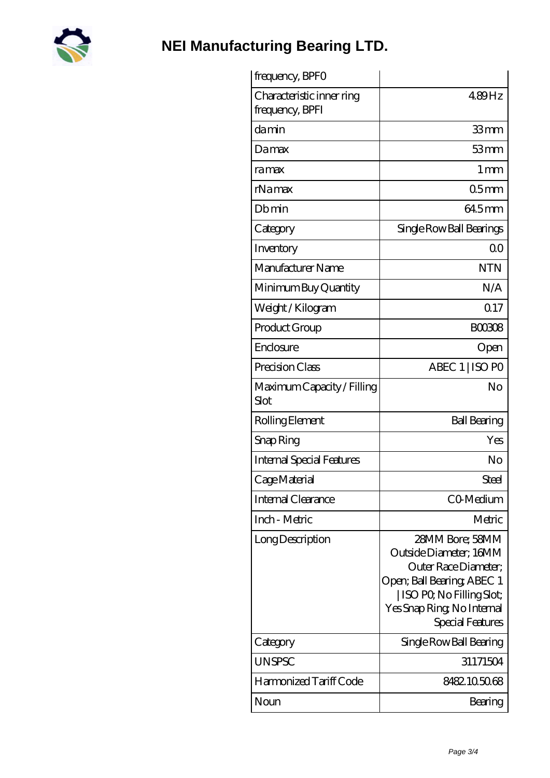

**[NEI Manufacturing Bearing LTD.](https://mtogr.com)**

| frequency, BPFO                              |                                                                                                                                                                                 |
|----------------------------------------------|---------------------------------------------------------------------------------------------------------------------------------------------------------------------------------|
| Characteristic inner ring<br>frequency, BPFI | 489Hz                                                                                                                                                                           |
| damin                                        | 33mm                                                                                                                                                                            |
| Damax                                        | 53mm                                                                                                                                                                            |
| ra max                                       | $1 \,\mathrm{mm}$                                                                                                                                                               |
| rNamax                                       | 05 <sub>mm</sub>                                                                                                                                                                |
| Dbmin                                        | 64.5mm                                                                                                                                                                          |
| Category                                     | Single Row Ball Bearings                                                                                                                                                        |
| Inventory                                    | 0 <sup>0</sup>                                                                                                                                                                  |
| Manufacturer Name                            | <b>NTN</b>                                                                                                                                                                      |
| Minimum Buy Quantity                         | N/A                                                                                                                                                                             |
| Weight / Kilogram                            | Q17                                                                                                                                                                             |
| Product Group                                | <b>BOO308</b>                                                                                                                                                                   |
| Enclosure                                    | Open                                                                                                                                                                            |
| Precision Class                              | ABEC 1   ISO PO                                                                                                                                                                 |
| Maximum Capacity / Filling<br>Slot           | No                                                                                                                                                                              |
| Rolling Element                              | <b>Ball Bearing</b>                                                                                                                                                             |
| Snap Ring                                    | Yes                                                                                                                                                                             |
| <b>Internal Special Features</b>             | No                                                                                                                                                                              |
| Cage Material                                | Steel                                                                                                                                                                           |
| <b>Internal Clearance</b>                    | CO-Medium                                                                                                                                                                       |
| Inch - Metric                                | Metric                                                                                                                                                                          |
| Long Description                             | 28MM Bore; 58MM<br>Outside Diameter; 16MM<br>Outer Race Diameter;<br>Open; Ball Bearing; ABEC 1<br>  ISO PO, No Filling Slot;<br>Yes Snap Ring, No Internal<br>Special Features |
| Category                                     | Single Row Ball Bearing                                                                                                                                                         |
| <b>UNSPSC</b>                                | 31171504                                                                                                                                                                        |
| Harmonized Tariff Code                       | 8482105068                                                                                                                                                                      |
| Noun                                         | Bearing                                                                                                                                                                         |